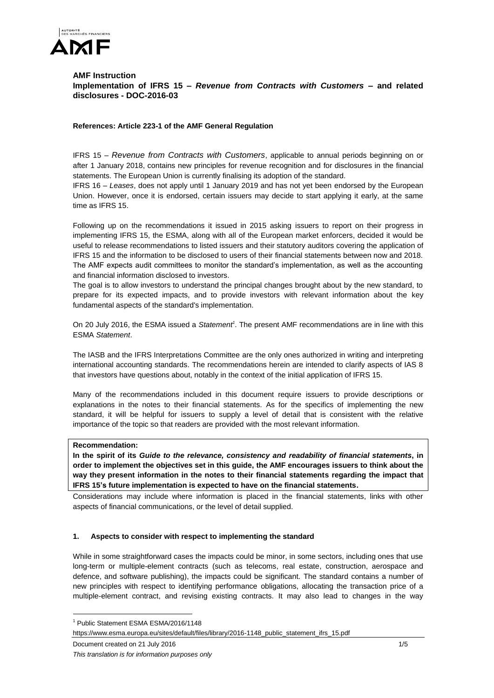

# **AMF Instruction Implementation of IFRS 15 –** *Revenue from Contracts with Customers* **– and related disclosures - DOC-2016-03**

# **References: Article 223-1 of the AMF General Regulation**

IFRS 15 – *Revenue from Contracts with Customers*, applicable to annual periods beginning on or after 1 January 2018, contains new principles for revenue recognition and for disclosures in the financial statements. The European Union is currently finalising its adoption of the standard.

IFRS 16 – *Leases*, does not apply until 1 January 2019 and has not yet been endorsed by the European Union. However, once it is endorsed, certain issuers may decide to start applying it early, at the same time as IFRS 15.

Following up on the recommendations it issued in 2015 asking issuers to report on their progress in implementing IFRS 15, the ESMA, along with all of the European market enforcers, decided it would be useful to release recommendations to listed issuers and their statutory auditors covering the application of IFRS 15 and the information to be disclosed to users of their financial statements between now and 2018. The AMF expects audit committees to monitor the standard's implementation, as well as the accounting and financial information disclosed to investors.

The goal is to allow investors to understand the principal changes brought about by the new standard, to prepare for its expected impacts, and to provide investors with relevant information about the key fundamental aspects of the standard's implementation.

On 20 July 2016, the ESMA issued a *Statement<sup>1</sup>* . The present AMF recommendations are in line with this ESMA *Statement*.

The IASB and the IFRS Interpretations Committee are the only ones authorized in writing and interpreting international accounting standards. The recommendations herein are intended to clarify aspects of IAS 8 that investors have questions about, notably in the context of the initial application of IFRS 15.

Many of the recommendations included in this document require issuers to provide descriptions or explanations in the notes to their financial statements. As for the specifics of implementing the new standard, it will be helpful for issuers to supply a level of detail that is consistent with the relative importance of the topic so that readers are provided with the most relevant information.

## **Recommendation:**

**In the spirit of its** *Guide to the relevance, consistency and readability of financial statements***, in order to implement the objectives set in this guide, the AMF encourages issuers to think about the way they present information in the notes to their financial statements regarding the impact that IFRS 15's future implementation is expected to have on the financial statements.**

Considerations may include where information is placed in the financial statements, links with other aspects of financial communications, or the level of detail supplied.

# **1. Aspects to consider with respect to implementing the standard**

While in some straightforward cases the impacts could be minor, in some sectors, including ones that use long-term or multiple-element contracts (such as telecoms, real estate, construction, aerospace and defence, and software publishing), the impacts could be significant. The standard contains a number of new principles with respect to identifying performance obligations, allocating the transaction price of a multiple-element contract, and revising existing contracts. It may also lead to changes in the way

 $\overline{a}$ 

<sup>1</sup> Public Statement ESMA ESMA/2016/1148

https://www.esma.europa.eu/sites/default/files/library/2016-1148\_public\_statement\_ifrs\_15.pdf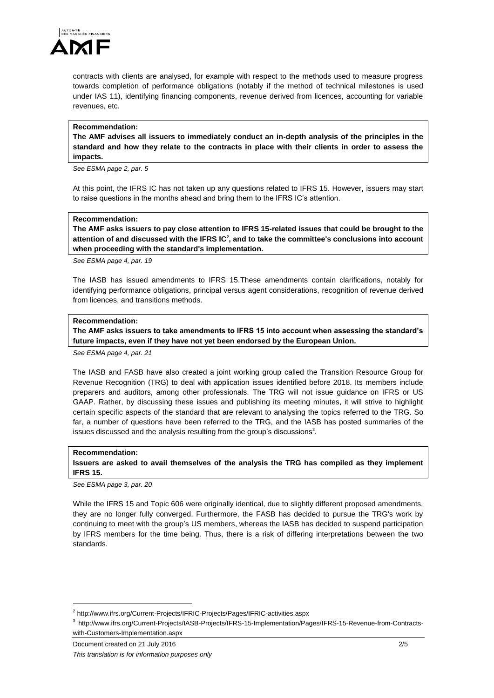

contracts with clients are analysed, for example with respect to the methods used to measure progress towards completion of performance obligations (notably if the method of technical milestones is used under IAS 11), identifying financing components, revenue derived from licences, accounting for variable revenues, etc.

#### **Recommendation:**

**The AMF advises all issuers to immediately conduct an in-depth analysis of the principles in the standard and how they relate to the contracts in place with their clients in order to assess the impacts.**

*See ESMA page 2, par. 5*

At this point, the IFRS IC has not taken up any questions related to IFRS 15. However, issuers may start to raise questions in the months ahead and bring them to the IFRS IC's attention.

#### **Recommendation:**

**The AMF asks issuers to pay close attention to IFRS 15-related issues that could be brought to the attention of and discussed with the IFRS IC<sup>2</sup> , and to take the committee's conclusions into account when proceeding with the standard's implementation.** 

*See ESMA page 4, par. 19*

The IASB has issued amendments to IFRS 15.These amendments contain clarifications, notably for identifying performance obligations, principal versus agent considerations, recognition of revenue derived from licences, and transitions methods.

## **Recommendation:**

**The AMF asks issuers to take amendments to IFRS 15 into account when assessing the standard's future impacts, even if they have not yet been endorsed by the European Union.**

*See ESMA page 4, par. 21*

The IASB and FASB have also created a joint working group called the Transition Resource Group for Revenue Recognition (TRG) to deal with application issues identified before 2018. Its members include preparers and auditors, among other professionals. The TRG will not issue guidance on IFRS or US GAAP. Rather, by discussing these issues and publishing its meeting minutes, it will strive to highlight certain specific aspects of the standard that are relevant to analysing the topics referred to the TRG. So far, a number of questions have been referred to the TRG, and the IASB has posted summaries of the issues discussed and the analysis resulting from the group's discussions<sup>3</sup>.

#### **Recommendation:**

 $\overline{a}$ 

**Issuers are asked to avail themselves of the analysis the TRG has compiled as they implement IFRS 15.**

*See ESMA page 3, par. 20*

While the IFRS 15 and Topic 606 were originally identical, due to slightly different proposed amendments, they are no longer fully converged. Furthermore, the FASB has decided to pursue the TRG's work by continuing to meet with the group's US members, whereas the IASB has decided to suspend participation by IFRS members for the time being. Thus, there is a risk of differing interpretations between the two standards.

<sup>&</sup>lt;sup>2</sup> http://www.ifrs.org/Current-Projects/IFRIC-Projects/Pages/IFRIC-activities.aspx

<sup>3</sup> http://www.ifrs.org/Current-Projects/IASB-Projects/IFRS-15-Implementation/Pages/IFRS-15-Revenue-from-Contractswith-Customers-Implementation.aspx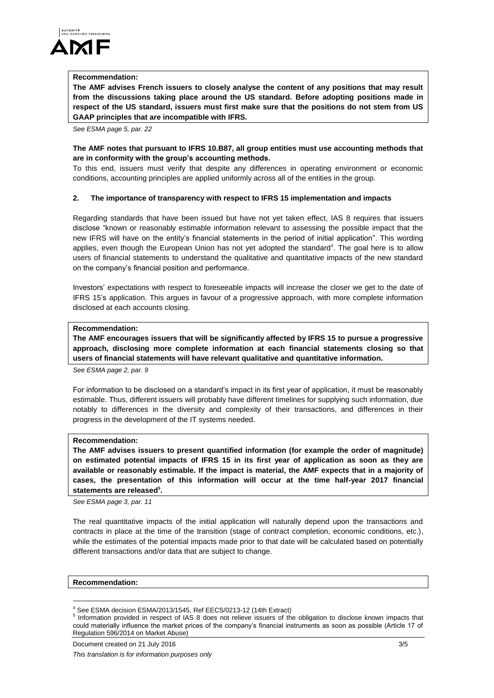

#### **Recommendation:**

**The AMF advises French issuers to closely analyse the content of any positions that may result from the discussions taking place around the US standard. Before adopting positions made in respect of the US standard, issuers must first make sure that the positions do not stem from US GAAP principles that are incompatible with IFRS.**

*See ESMA page 5, par. 22*

## **The AMF notes that pursuant to IFRS 10.B87, all group entities must use accounting methods that are in conformity with the group's accounting methods.**

To this end, issuers must verify that despite any differences in operating environment or economic conditions, accounting principles are applied uniformly across all of the entities in the group.

## **2. The importance of transparency with respect to IFRS 15 implementation and impacts**

Regarding standards that have been issued but have not yet taken effect, IAS 8 requires that issuers disclose "known or reasonably estimable information relevant to assessing the possible impact that the new IFRS will have on the entity's financial statements in the period of initial application". This wording applies, even though the European Union has not yet adopted the standard<sup>4</sup>. The goal here is to allow users of financial statements to understand the qualitative and quantitative impacts of the new standard on the company's financial position and performance.

Investors' expectations with respect to foreseeable impacts will increase the closer we get to the date of IFRS 15's application. This argues in favour of a progressive approach, with more complete information disclosed at each accounts closing.

## **Recommendation:**

**The AMF encourages issuers that will be significantly affected by IFRS 15 to pursue a progressive approach, disclosing more complete information at each financial statements closing so that users of financial statements will have relevant qualitative and quantitative information.** 

*See ESMA page 2, par. 9*

For information to be disclosed on a standard's impact in its first year of application, it must be reasonably estimable. Thus, different issuers will probably have different timelines for supplying such information, due notably to differences in the diversity and complexity of their transactions, and differences in their progress in the development of the IT systems needed.

## **Recommendation:**

**The AMF advises issuers to present quantified information (for example the order of magnitude) on estimated potential impacts of IFRS 15 in its first year of application as soon as they are available or reasonably estimable. If the impact is material, the AMF expects that in a majority of cases, the presentation of this information will occur at the time half-year 2017 financial statements are released<sup>5</sup> .**

*See ESMA page 3, par. 11*

The real quantitative impacts of the initial application will naturally depend upon the transactions and contracts in place at the time of the transition (stage of contract completion, economic conditions, etc.), while the estimates of the potential impacts made prior to that date will be calculated based on potentially different transactions and/or data that are subject to change.

#### **Recommendation:**

l

See ESMA decision ESMA/2013/1545, Ref EECS/0213-12 (14th Extract)

<sup>5</sup> Information provided in respect of IAS 8 does not relieve issuers of the obligation to disclose known impacts that could materially influence the market prices of the company's financial instruments as soon as possible (Article 17 of Regulation 596/2014 on Market Abuse)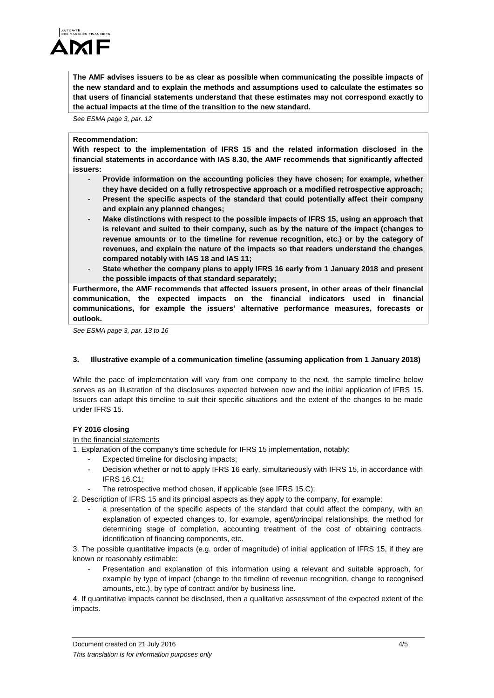

**The AMF advises issuers to be as clear as possible when communicating the possible impacts of the new standard and to explain the methods and assumptions used to calculate the estimates so that users of financial statements understand that these estimates may not correspond exactly to the actual impacts at the time of the transition to the new standard.**

*See ESMA page 3, par. 12*

## **Recommendation:**

**With respect to the implementation of IFRS 15 and the related information disclosed in the financial statements in accordance with IAS 8.30, the AMF recommends that significantly affected issuers:**

- **Provide information on the accounting policies they have chosen; for example, whether they have decided on a fully retrospective approach or a modified retrospective approach;**
- **Present the specific aspects of the standard that could potentially affect their company and explain any planned changes;**
- Make distinctions with respect to the possible impacts of IFRS 15, using an approach that **is relevant and suited to their company, such as by the nature of the impact (changes to revenue amounts or to the timeline for revenue recognition, etc.) or by the category of revenues, and explain the nature of the impacts so that readers understand the changes compared notably with IAS 18 and IAS 11;**
- **State whether the company plans to apply IFRS 16 early from 1 January 2018 and present the possible impacts of that standard separately;**

**Furthermore, the AMF recommends that affected issuers present, in other areas of their financial communication, the expected impacts on the financial indicators used in financial communications, for example the issuers' alternative performance measures, forecasts or outlook.**

*See ESMA page 3, par. 13 to 16*

# **3. Illustrative example of a communication timeline (assuming application from 1 January 2018)**

While the pace of implementation will vary from one company to the next, the sample timeline below serves as an illustration of the disclosures expected between now and the initial application of IFRS 15. Issuers can adapt this timeline to suit their specific situations and the extent of the changes to be made under IFRS 15.

# **FY 2016 closing**

## In the financial statements

1. Explanation of the company's time schedule for IFRS 15 implementation, notably:

- Expected timeline for disclosing impacts:
- Decision whether or not to apply IFRS 16 early, simultaneously with IFRS 15, in accordance with IFRS 16.C1;
- The retrospective method chosen, if applicable (see IFRS 15.C);
- 2. Description of IFRS 15 and its principal aspects as they apply to the company, for example:
	- a presentation of the specific aspects of the standard that could affect the company, with an explanation of expected changes to, for example, agent/principal relationships, the method for determining stage of completion, accounting treatment of the cost of obtaining contracts, identification of financing components, etc.

3. The possible quantitative impacts (e.g. order of magnitude) of initial application of IFRS 15, if they are known or reasonably estimable:

Presentation and explanation of this information using a relevant and suitable approach, for example by type of impact (change to the timeline of revenue recognition, change to recognised amounts, etc.), by type of contract and/or by business line.

4. If quantitative impacts cannot be disclosed, then a qualitative assessment of the expected extent of the impacts.